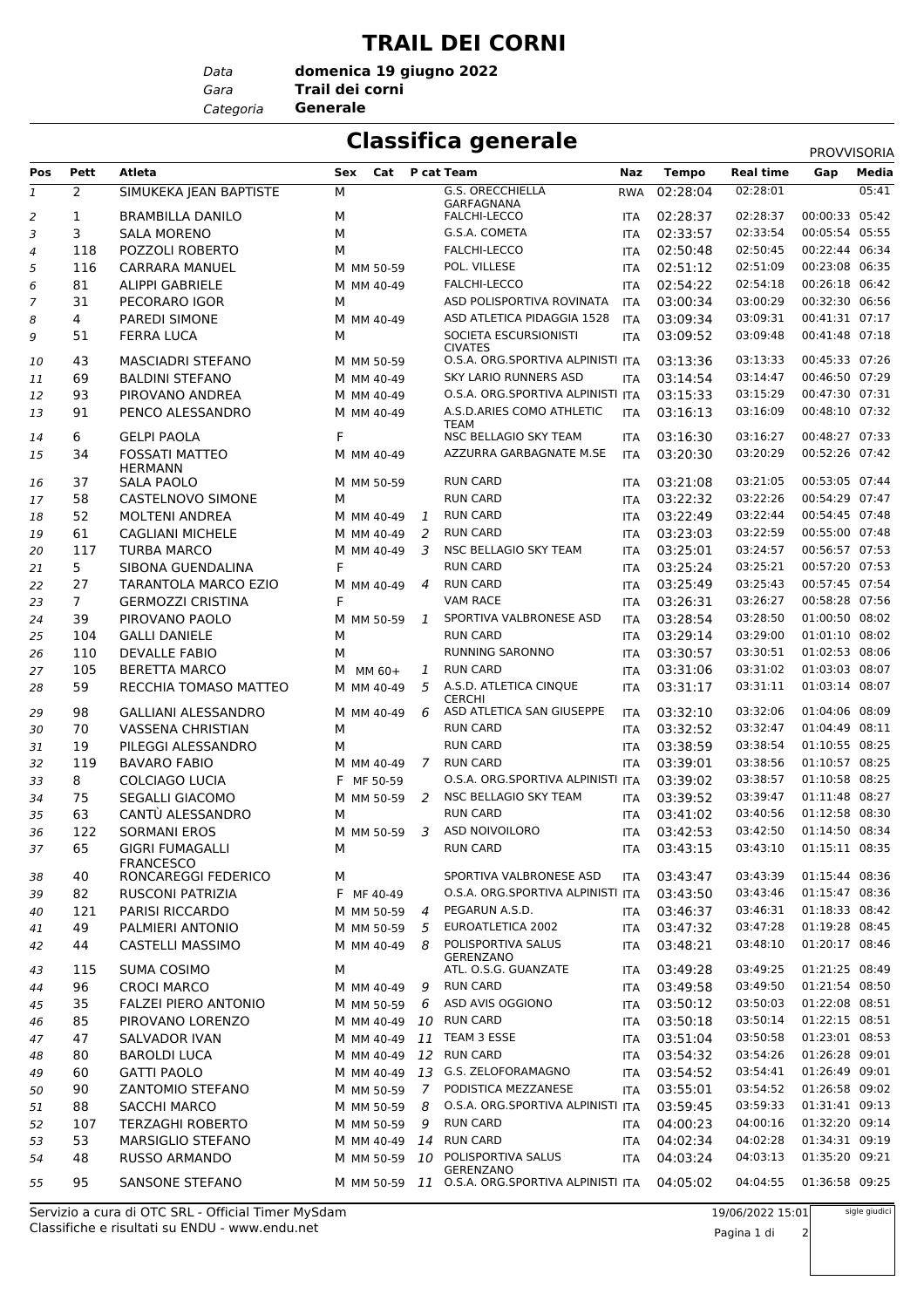## **TRAIL DEI CORNI**

*Data*

*Gara* **Trail dei corni domenica 19 giugno 2022**

*Categoria* **Generale**

## **Classifica generale** PROVISORI

|              |                |                             |     |               |                |                                                 |            |              |                  | <b>PROVVISORIA</b> |       |
|--------------|----------------|-----------------------------|-----|---------------|----------------|-------------------------------------------------|------------|--------------|------------------|--------------------|-------|
| Pos          | Pett           | Atleta                      | Sex | Cat           |                | P cat Team                                      | Naz        | <b>Tempo</b> | <b>Real time</b> | Gap                | Media |
| $\mathbf{1}$ | $\overline{2}$ | SIMUKEKA JEAN BAPTISTE      | М   |               |                | <b>G.S. ORECCHIELLA</b>                         | <b>RWA</b> | 02:28:04     | 02:28:01         |                    | 05:41 |
| 2            | 1              | <b>BRAMBILLA DANILO</b>     | М   |               |                | GARFAGNANA<br><b>FALCHI-LECCO</b>               | <b>ITA</b> | 02:28:37     | 02:28:37         | 00:00:33 05:42     |       |
| 3            | 3              | <b>SALA MORENO</b>          | M   |               |                | G.S.A. COMETA                                   | <b>ITA</b> | 02:33:57     | 02:33:54         | 00:05:54 05:55     |       |
| 4            | 118            | POZZOLI ROBERTO             | M   |               |                | FALCHI-LECCO                                    | <b>ITA</b> | 02:50:48     | 02:50:45         | 00:22:44 06:34     |       |
| 5            | 116            | <b>CARRARA MANUEL</b>       |     | M MM 50-59    |                | POL. VILLESE                                    | <b>ITA</b> | 02:51:12     | 02:51:09         | 00:23:08 06:35     |       |
|              |                |                             |     |               |                |                                                 |            |              | 02:54:18         | 00:26:18 06:42     |       |
| 6            | 81             | <b>ALIPPI GABRIELE</b>      |     | M MM 40-49    |                | FALCHI-LECCO                                    | <b>ITA</b> | 02:54:22     |                  |                    |       |
| 7            | 31             | PECORARO IGOR               | M   |               |                | ASD POLISPORTIVA ROVINATA                       | <b>ITA</b> | 03:00:34     | 03:00:29         | 00:32:30 06:56     |       |
| 8            | 4              | PAREDI SIMONE               |     | M MM 40-49    |                | ASD ATLETICA PIDAGGIA 1528                      | <b>ITA</b> | 03:09:34     | 03:09:31         | 00:41:31 07:17     |       |
| 9            | 51             | <b>FERRA LUCA</b>           | М   |               |                | SOCIETA ESCURSIONISTI<br><b>CIVATES</b>         | <b>ITA</b> | 03:09:52     | 03:09:48         | 00:41:48 07:18     |       |
| 10           | 43             | <b>MASCIADRI STEFANO</b>    |     | M MM 50-59    |                | O.S.A. ORG.SPORTIVA ALPINISTI ITA               |            | 03:13:36     | 03:13:33         | 00:45:33 07:26     |       |
| 11           | 69             | <b>BALDINI STEFANO</b>      |     | M MM 40-49    |                | <b>SKY LARIO RUNNERS ASD</b>                    | <b>ITA</b> | 03:14:54     | 03:14:47         | 00:46:50 07:29     |       |
| 12           | 93             | PIROVANO ANDREA             |     | M MM 40-49    |                | O.S.A. ORG.SPORTIVA ALPINISTI ITA               |            | 03:15:33     | 03:15:29         | 00:47:30 07:31     |       |
| 13           | 91             | PENCO ALESSANDRO            |     | M MM 40-49    |                | A.S.D.ARIES COMO ATHLETIC<br>TEAM               | <b>ITA</b> | 03:16:13     | 03:16:09         | 00:48:10 07:32     |       |
| 14           | 6              | <b>GELPI PAOLA</b>          | F   |               |                | NSC BELLAGIO SKY TEAM                           | <b>ITA</b> | 03:16:30     | 03:16:27         | 00:48:27 07:33     |       |
| 15           | 34             | <b>FOSSATI MATTEO</b>       |     | M MM 40-49    |                | AZZURRA GARBAGNATE M.SE                         | <b>ITA</b> | 03:20:30     | 03:20:29         | 00:52:26 07:42     |       |
|              |                | <b>HERMANN</b>              |     |               |                |                                                 |            |              |                  |                    |       |
| 16           | 37             | SALA PAOLO                  |     | M MM 50-59    |                | <b>RUN CARD</b>                                 | <b>ITA</b> | 03:21:08     | 03:21:05         | 00:53:05 07:44     |       |
| 17           | 58             | CASTELNOVO SIMONE           | М   |               |                | <b>RUN CARD</b>                                 | <b>ITA</b> | 03:22:32     | 03:22:26         | 00:54:29 07:47     |       |
| 18           | 52             | <b>MOLTENI ANDREA</b>       |     | M MM 40-49    | 1              | <b>RUN CARD</b>                                 | <b>ITA</b> | 03:22:49     | 03:22:44         | 00:54:45 07:48     |       |
| 19           | 61             | <b>CAGLIANI MICHELE</b>     |     | M MM 40-49    | 2              | <b>RUN CARD</b>                                 | <b>ITA</b> | 03:23:03     | 03:22:59         | 00:55:00 07:48     |       |
| 20           | 117            | <b>TURBA MARCO</b>          |     | M MM 40-49    | 3              | NSC BELLAGIO SKY TEAM                           | <b>ITA</b> | 03:25:01     | 03:24:57         | 00:56:57 07:53     |       |
| 21           | 5              | SIBONA GUENDALINA           | F   |               |                | <b>RUN CARD</b>                                 | <b>ITA</b> | 03:25:24     | 03:25:21         | 00:57:20 07:53     |       |
| 22           | 27             | <b>TARANTOLA MARCO EZIO</b> |     | M MM 40-49    | $\overline{4}$ | <b>RUN CARD</b>                                 | <b>ITA</b> | 03:25:49     | 03:25:43         | 00:57:45 07:54     |       |
| 23           | $\overline{7}$ | <b>GERMOZZI CRISTINA</b>    | F   |               |                | <b>VAM RACE</b>                                 | <b>ITA</b> | 03:26:31     | 03:26:27         | 00:58:28 07:56     |       |
| 24           | 39             | PIROVANO PAOLO              |     | M MM 50-59    | 1              | SPORTIVA VALBRONESE ASD                         | <b>ITA</b> | 03:28:54     | 03:28:50         | 01:00:50 08:02     |       |
|              | 104            | <b>GALLI DANIELE</b>        | М   |               |                | <b>RUN CARD</b>                                 | <b>ITA</b> | 03:29:14     | 03:29:00         | 01:01:10 08:02     |       |
| 25           |                |                             |     |               |                |                                                 |            |              | 03:30:51         | 01:02:53 08:06     |       |
| 26           | 110            | <b>DEVALLE FABIO</b>        | М   |               |                | RUNNING SARONNO                                 | <b>ITA</b> | 03:30:57     |                  |                    |       |
| 27           | 105            | <b>BERETTA MARCO</b>        |     | M MM 60+      | 1              | <b>RUN CARD</b>                                 | <b>ITA</b> | 03:31:06     | 03:31:02         | 01:03:03 08:07     |       |
| 28           | 59             | RECCHIA TOMASO MATTEO       |     | M MM 40-49    | 5              | A.S.D. ATLETICA CINQUE<br><b>CERCHI</b>         | <b>ITA</b> | 03:31:17     | 03:31:11         | 01:03:14 08:07     |       |
| 29           | 98             | <b>GALLIANI ALESSANDRO</b>  |     | M MM 40-49    | 6              | ASD ATLETICA SAN GIUSEPPE                       | <b>ITA</b> | 03:32:10     | 03:32:06         | 01:04:06 08:09     |       |
| 30           | 70             | <b>VASSENA CHRISTIAN</b>    | M   |               |                | <b>RUN CARD</b>                                 | <b>ITA</b> | 03:32:52     | 03:32:47         | 01:04:49 08:11     |       |
| 31           | 19             | PILEGGI ALESSANDRO          | М   |               |                | <b>RUN CARD</b>                                 | <b>ITA</b> | 03:38:59     | 03:38:54         | 01:10:55 08:25     |       |
| 32           | 119            | <b>BAVARO FABIO</b>         |     | M MM 40-49    | 7              | <b>RUN CARD</b>                                 | <b>ITA</b> | 03:39:01     | 03:38:56         | 01:10:57 08:25     |       |
| 33           | 8              | COLCIAGO LUCIA              |     | F MF 50-59    |                | O.S.A. ORG.SPORTIVA ALPINISTI ITA               |            | 03:39:02     | 03:38:57         | 01:10:58 08:25     |       |
| 34           | 75             | <b>SEGALLI GIACOMO</b>      |     | M MM 50-59    | 2              | NSC BELLAGIO SKY TEAM                           | <b>ITA</b> | 03:39:52     | 03:39:47         | 01:11:48 08:27     |       |
| 35           | 63             | CANTÙ ALESSANDRO            | М   |               |                | <b>RUN CARD</b>                                 | <b>ITA</b> | 03:41:02     | 03:40:56         | 01:12:58 08:30     |       |
| 36           | 122            | <b>SORMANI EROS</b>         |     | M MM 50-59    | 3              | ASD NOIVOILORO                                  | <b>ITA</b> | 03:42:53     | 03:42:50         | 01:14:50 08:34     |       |
| 37           | 65             | <b>GIGRI FUMAGALLI</b>      | М   |               |                | <b>RUN CARD</b>                                 |            | ITA 03:43:15 | 03:43:10         | 01:15:11 08:35     |       |
|              |                | <b>FRANCESCO</b>            |     |               |                |                                                 |            |              |                  |                    |       |
| 38           | 40             | RONCAREGGI FEDERICO         | М   |               |                | SPORTIVA VALBRONESE ASD                         | <b>ITA</b> | 03:43:47     | 03:43:39         | 01:15:44 08:36     |       |
| 39           | 82             | <b>RUSCONI PATRIZIA</b>     |     | F MF 40-49    |                | O.S.A. ORG.SPORTIVA ALPINISTI ITA               |            | 03:43:50     | 03:43:46         | 01:15:47 08:36     |       |
| 40           | 121            | PARISI RICCARDO             |     | M MM 50-59    | 4              | PEGARUN A.S.D.                                  | ITA        | 03:46:37     | 03:46:31         | 01:18:33 08:42     |       |
| 41           | 49             | PALMIERI ANTONIO            |     | M MM 50-59    | 5              | EUROATLETICA 2002                               | <b>ITA</b> | 03:47:32     | 03:47:28         | 01:19:28 08:45     |       |
| 42           | 44             | CASTELLI MASSIMO            |     | M MM 40-49    | 8              | POLISPORTIVA SALUS<br><b>GERENZANO</b>          | ITA        | 03:48:21     | 03:48:10         | 01:20:17 08:46     |       |
| 43           | 115            | SUMA COSIMO                 | М   |               |                | ATL. O.S.G. GUANZATE                            | ITA        | 03:49:28     | 03:49:25         | 01:21:25 08:49     |       |
| 44           | 96             | <b>CROCI MARCO</b>          |     | M MM 40-49    | 9              | <b>RUN CARD</b>                                 | <b>ITA</b> | 03:49:58     | 03:49:50         | 01:21:54 08:50     |       |
| 45           | 35             | <b>FALZEI PIERO ANTONIO</b> |     | M MM 50-59    | 6              | ASD AVIS OGGIONO                                | <b>ITA</b> | 03:50:12     | 03:50:03         | 01:22:08 08:51     |       |
| 46           | 85             | PIROVANO LORENZO            |     | M MM 40-49    | 10             | <b>RUN CARD</b>                                 | ITA        | 03:50:18     | 03:50:14         | 01:22:15 08:51     |       |
|              |                |                             |     |               |                | TEAM 3 ESSE                                     |            |              | 03:50:58         | 01:23:01 08:53     |       |
| 47           | 47             | SALVADOR IVAN               |     | M MM 40-49    | 11             |                                                 | ITA        | 03:51:04     |                  | 01:26:28 09:01     |       |
| 48           | 80             | <b>BAROLDI LUCA</b>         |     | M MM 40-49    | 12             | <b>RUN CARD</b>                                 | <b>ITA</b> | 03:54:32     | 03:54:26         |                    |       |
| 49           | 60             | <b>GATTI PAOLO</b>          |     | M MM 40-49    | 13             | G.S. ZELOFORAMAGNO                              | <b>ITA</b> | 03:54:52     | 03:54:41         | 01:26:49 09:01     |       |
| 50           | 90             | <b>ZANTOMIO STEFANO</b>     |     | M MM 50-59    | 7              | PODISTICA MEZZANESE                             | ITA        | 03:55:01     | 03:54:52         | 01:26:58 09:02     |       |
| 51           | 88             | <b>SACCHI MARCO</b>         |     | M MM 50-59    | 8              | O.S.A. ORG.SPORTIVA ALPINISTI ITA               |            | 03:59:45     | 03:59:33         | 01:31:41 09:13     |       |
| 52           | 107            | <b>TERZAGHI ROBERTO</b>     |     | M MM 50-59    | 9              | <b>RUN CARD</b>                                 | <b>ITA</b> | 04:00:23     | 04:00:16         | 01:32:20 09:14     |       |
| 53           | 53             | MARSIGLIO STEFANO           |     | M MM 40-49 14 |                | <b>RUN CARD</b>                                 | ITA        | 04:02:34     | 04:02:28         | 01:34:31 09:19     |       |
| 54           | 48             | <b>RUSSO ARMANDO</b>        |     | M MM 50-59    | 10             | POLISPORTIVA SALUS<br><b>GERENZANO</b>          | <b>ITA</b> | 04:03:24     | 04:03:13         | 01:35:20 09:21     |       |
| 55           | 95             | SANSONE STEFANO             |     |               |                | M MM 50-59 11 O.S.A. ORG.SPORTIVA ALPINISTI ITA |            | 04:05:02     | 04:04:55         | 01:36:58 09:25     |       |
|              |                |                             |     |               |                |                                                 |            |              |                  |                    |       |

Classifiche e risultati su ENDU - www.endu.net Servizio a cura di OTC SRL - Official Timer MySdam 19/06/2022 15:01

sigle giudici

Pagina 1 di 2